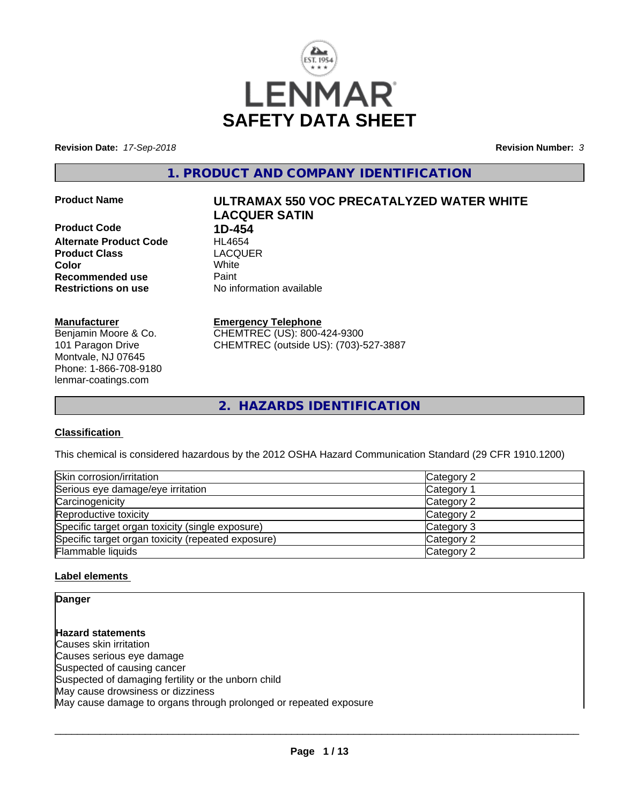

**Revision Date:** *17-Sep-2018* **Revision Number:** *3*

**1. PRODUCT AND COMPANY IDENTIFICATION**

#### **Product Name ULTRAMAX 550 VOC PRECATALYZED WATER WHITE**

**Product Code 1D-454 Alternate Product Code HL4654**<br> **Product Class** LACQUER **Product Class Recommended use** Paint<br> **Restrictions on use** Mo information available **Restrictions on use** 

# **Color** White

**LACQUER SATIN**

#### **Manufacturer**

Benjamin Moore & Co. 101 Paragon Drive Montvale, NJ 07645 Phone: 1-866-708-9180 lenmar-coatings.com

# **Emergency Telephone**

CHEMTREC (US): 800-424-9300 CHEMTREC (outside US): (703)-527-3887

**2. HAZARDS IDENTIFICATION**

# **Classification**

This chemical is considered hazardous by the 2012 OSHA Hazard Communication Standard (29 CFR 1910.1200)

| Skin corrosion/irritation                          | Category 2 |
|----------------------------------------------------|------------|
| Serious eye damage/eye irritation                  | Category   |
| Carcinogenicity                                    | Category 2 |
| Reproductive toxicity                              | Category 2 |
| Specific target organ toxicity (single exposure)   | Category 3 |
| Specific target organ toxicity (repeated exposure) | Category 2 |
| Flammable liquids                                  | Category 2 |

# **Label elements**

**Danger**

**Hazard statements** Causes skin irritation Causes serious eye damage Suspected of causing cancer Suspected of damaging fertility or the unborn child May cause drowsiness or dizziness May cause damage to organs through prolonged or repeated exposure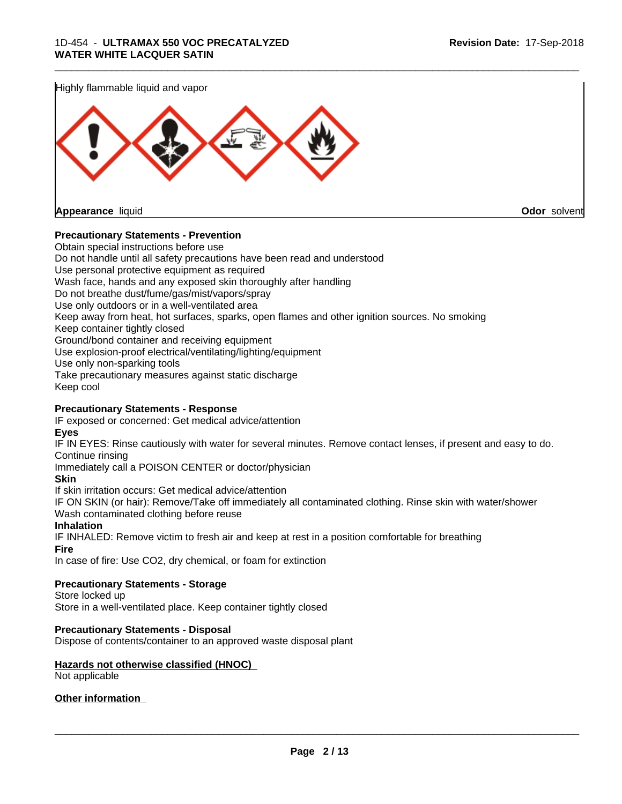

#### **Precautionary Statements - Prevention**

Obtain special instructions before use Do not handle until all safety precautions have been read and understood Use personal protective equipment as required Wash face, hands and any exposed skin thoroughly after handling Do not breathe dust/fume/gas/mist/vapors/spray Use only outdoors or in a well-ventilated area Keep away from heat, hot surfaces, sparks, open flames and other ignition sources. No smoking Keep container tightly closed Ground/bond container and receiving equipment Use explosion-proof electrical/ventilating/lighting/equipment Use only non-sparking tools Take precautionary measures against static discharge Keep cool **Precautionary Statements - Response**

IF exposed or concerned: Get medical advice/attention

# **Eyes**

IF IN EYES: Rinse cautiously with water forseveral minutes. Remove contact lenses, if present and easy to do. Continue rinsing

Immediately call a POISON CENTER or doctor/physician

#### **Skin**

If skin irritation occurs: Get medical advice/attention

IF ON SKIN (or hair): Remove/Take off immediately all contaminated clothing. Rinse skin with water/shower Wash contaminated clothing before reuse

#### **Inhalation**

IF INHALED: Remove victim to fresh air and keep at rest in a position comfortable for breathing

#### **Fire**

In case of fire: Use CO2, dry chemical, or foam for extinction

# **Precautionary Statements - Storage**

Store locked up

Store in a well-ventilated place. Keep container tightly closed

#### **Precautionary Statements - Disposal**

Dispose of contents/container to an approved waste disposal plant

#### **Hazards not otherwise classified (HNOC)** Not applicable

**Other information**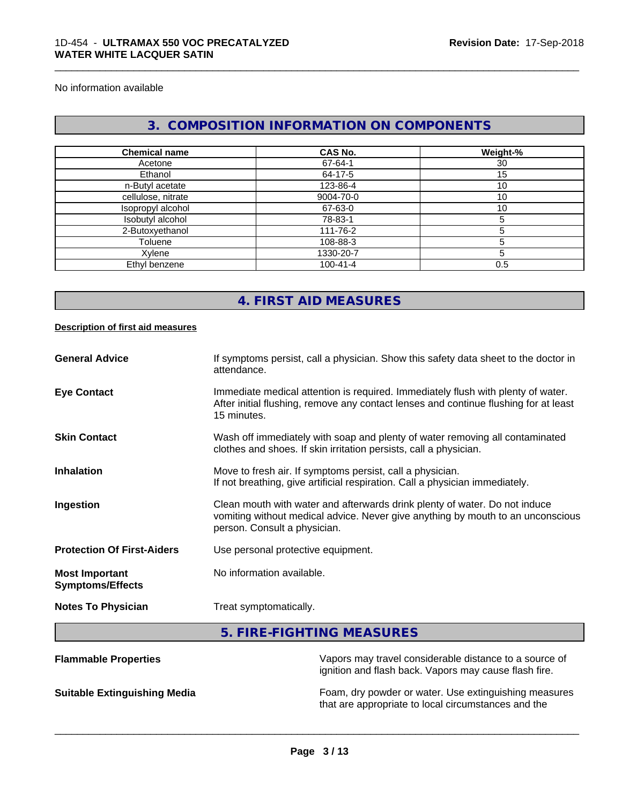No information available

# **3. COMPOSITION INFORMATION ON COMPONENTS**

\_\_\_\_\_\_\_\_\_\_\_\_\_\_\_\_\_\_\_\_\_\_\_\_\_\_\_\_\_\_\_\_\_\_\_\_\_\_\_\_\_\_\_\_\_\_\_\_\_\_\_\_\_\_\_\_\_\_\_\_\_\_\_\_\_\_\_\_\_\_\_\_\_\_\_\_\_\_\_\_\_\_\_\_\_\_\_\_\_\_\_\_\_

| <b>Chemical name</b> | CAS No.        | Weight-% |
|----------------------|----------------|----------|
| Acetone              | 67-64-1        | 30       |
| Ethanol              | 64-17-5        | 15       |
| n-Butyl acetate      | 123-86-4       | 10       |
| cellulose, nitrate   | 9004-70-0      | 10       |
| Isopropyl alcohol    | 67-63-0        | 10       |
| Isobutyl alcohol     | 78-83-1        |          |
| 2-Butoxyethanol      | 111-76-2       |          |
| Toluene              | 108-88-3       |          |
| Xylene               | 1330-20-7      |          |
| Ethyl benzene        | $100 - 41 - 4$ | 0.5      |

# **4. FIRST AID MEASURES**

#### **Description of first aid measures**

| <b>Flammable Properties</b>                      | Vapors may travel considerable distance to a source of                                                                                                                                        |
|--------------------------------------------------|-----------------------------------------------------------------------------------------------------------------------------------------------------------------------------------------------|
|                                                  | 5. FIRE-FIGHTING MEASURES                                                                                                                                                                     |
| <b>Notes To Physician</b>                        | Treat symptomatically.                                                                                                                                                                        |
| <b>Most Important</b><br><b>Symptoms/Effects</b> | No information available.                                                                                                                                                                     |
| <b>Protection Of First-Aiders</b>                | Use personal protective equipment.                                                                                                                                                            |
| Ingestion                                        | Clean mouth with water and afterwards drink plenty of water. Do not induce<br>vomiting without medical advice. Never give anything by mouth to an unconscious<br>person. Consult a physician. |
| <b>Inhalation</b>                                | Move to fresh air. If symptoms persist, call a physician.<br>If not breathing, give artificial respiration. Call a physician immediately.                                                     |
| <b>Skin Contact</b>                              | Wash off immediately with soap and plenty of water removing all contaminated<br>clothes and shoes. If skin irritation persists, call a physician.                                             |
| <b>Eye Contact</b>                               | Immediate medical attention is required. Immediately flush with plenty of water.<br>After initial flushing, remove any contact lenses and continue flushing for at least<br>15 minutes.       |
| <b>General Advice</b>                            | If symptoms persist, call a physician. Show this safety data sheet to the doctor in<br>attendance.                                                                                            |

ignition and flash back. Vapors may cause flash fire.

**Suitable Extinguishing Media** Foam, dry powder or water. Use extinguishing measures that are appropriate to local circumstances and the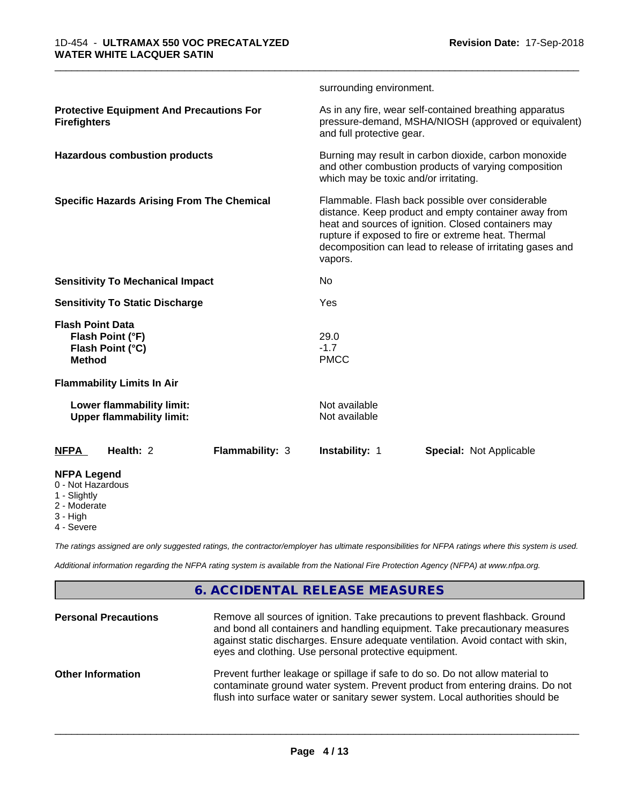|                                                                                  |                        | surrounding environment.                                                                                                                                                                                                                                                                       |                                                                                                                 |  |  |
|----------------------------------------------------------------------------------|------------------------|------------------------------------------------------------------------------------------------------------------------------------------------------------------------------------------------------------------------------------------------------------------------------------------------|-----------------------------------------------------------------------------------------------------------------|--|--|
| <b>Protective Equipment And Precautions For</b><br><b>Firefighters</b>           |                        | and full protective gear.                                                                                                                                                                                                                                                                      | As in any fire, wear self-contained breathing apparatus<br>pressure-demand, MSHA/NIOSH (approved or equivalent) |  |  |
| <b>Hazardous combustion products</b>                                             |                        | Burning may result in carbon dioxide, carbon monoxide<br>and other combustion products of varying composition<br>which may be toxic and/or irritating.                                                                                                                                         |                                                                                                                 |  |  |
| <b>Specific Hazards Arising From The Chemical</b>                                |                        | Flammable. Flash back possible over considerable<br>distance. Keep product and empty container away from<br>heat and sources of ignition. Closed containers may<br>rupture if exposed to fire or extreme heat. Thermal<br>decomposition can lead to release of irritating gases and<br>vapors. |                                                                                                                 |  |  |
| <b>Sensitivity To Mechanical Impact</b>                                          |                        | No                                                                                                                                                                                                                                                                                             |                                                                                                                 |  |  |
| <b>Sensitivity To Static Discharge</b>                                           |                        | Yes                                                                                                                                                                                                                                                                                            |                                                                                                                 |  |  |
| <b>Flash Point Data</b><br>Flash Point (°F)<br>Flash Point (°C)<br><b>Method</b> |                        | 29.0<br>$-1.7$<br><b>PMCC</b>                                                                                                                                                                                                                                                                  |                                                                                                                 |  |  |
| <b>Flammability Limits In Air</b>                                                |                        |                                                                                                                                                                                                                                                                                                |                                                                                                                 |  |  |
| Lower flammability limit:<br><b>Upper flammability limit:</b>                    |                        | Not available<br>Not available                                                                                                                                                                                                                                                                 |                                                                                                                 |  |  |
| Health: 2<br><b>NFPA</b>                                                         | <b>Flammability: 3</b> | <b>Instability: 1</b>                                                                                                                                                                                                                                                                          | <b>Special: Not Applicable</b>                                                                                  |  |  |
| <b>NFPA Legend</b><br>0 - Not Hazardous<br>1 - Slightly<br>2 Moderate            |                        |                                                                                                                                                                                                                                                                                                |                                                                                                                 |  |  |

2 - Moderate

- 3 High
- 4 Severe

*The ratings assigned are only suggested ratings, the contractor/employer has ultimate responsibilities for NFPA ratings where this system is used.*

*Additional information regarding the NFPA rating system is available from the National Fire Protection Agency (NFPA) at www.nfpa.org.*

# **6. ACCIDENTAL RELEASE MEASURES**

| <b>Personal Precautions</b> | Remove all sources of ignition. Take precautions to prevent flashback. Ground<br>and bond all containers and handling equipment. Take precautionary measures<br>against static discharges. Ensure adequate ventilation. Avoid contact with skin,<br>eyes and clothing. Use personal protective equipment. |
|-----------------------------|-----------------------------------------------------------------------------------------------------------------------------------------------------------------------------------------------------------------------------------------------------------------------------------------------------------|
| <b>Other Information</b>    | Prevent further leakage or spillage if safe to do so. Do not allow material to<br>contaminate ground water system. Prevent product from entering drains. Do not<br>flush into surface water or sanitary sewer system. Local authorities should be                                                         |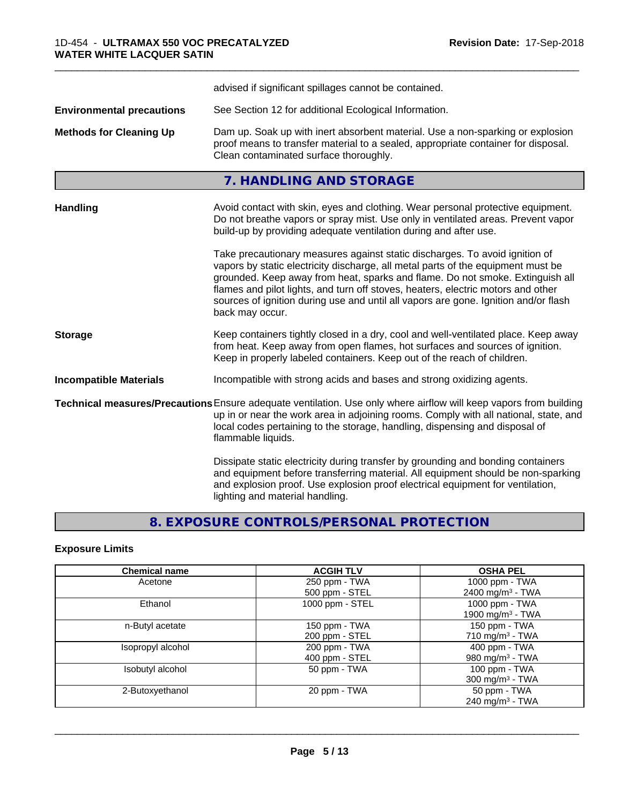|                                  | advised if significant spillages cannot be contained.                                                                                                                                                                                                                                                                                                                                                                                          |  |
|----------------------------------|------------------------------------------------------------------------------------------------------------------------------------------------------------------------------------------------------------------------------------------------------------------------------------------------------------------------------------------------------------------------------------------------------------------------------------------------|--|
| <b>Environmental precautions</b> | See Section 12 for additional Ecological Information.                                                                                                                                                                                                                                                                                                                                                                                          |  |
| <b>Methods for Cleaning Up</b>   | Dam up. Soak up with inert absorbent material. Use a non-sparking or explosion<br>proof means to transfer material to a sealed, appropriate container for disposal.<br>Clean contaminated surface thoroughly.                                                                                                                                                                                                                                  |  |
|                                  | 7. HANDLING AND STORAGE                                                                                                                                                                                                                                                                                                                                                                                                                        |  |
| <b>Handling</b>                  | Avoid contact with skin, eyes and clothing. Wear personal protective equipment.<br>Do not breathe vapors or spray mist. Use only in ventilated areas. Prevent vapor<br>build-up by providing adequate ventilation during and after use.                                                                                                                                                                                                        |  |
|                                  | Take precautionary measures against static discharges. To avoid ignition of<br>vapors by static electricity discharge, all metal parts of the equipment must be<br>grounded. Keep away from heat, sparks and flame. Do not smoke. Extinguish all<br>flames and pilot lights, and turn off stoves, heaters, electric motors and other<br>sources of ignition during use and until all vapors are gone. Ignition and/or flash<br>back may occur. |  |
| <b>Storage</b>                   | Keep containers tightly closed in a dry, cool and well-ventilated place. Keep away<br>from heat. Keep away from open flames, hot surfaces and sources of ignition.<br>Keep in properly labeled containers. Keep out of the reach of children.                                                                                                                                                                                                  |  |
| <b>Incompatible Materials</b>    | Incompatible with strong acids and bases and strong oxidizing agents.                                                                                                                                                                                                                                                                                                                                                                          |  |
|                                  | Technical measures/Precautions Ensure adequate ventilation. Use only where airflow will keep vapors from building<br>up in or near the work area in adjoining rooms. Comply with all national, state, and<br>local codes pertaining to the storage, handling, dispensing and disposal of<br>flammable liquids.                                                                                                                                 |  |
|                                  | Dissipate static electricity during transfer by grounding and bonding containers<br>and equipment before transferring material. All equipment should be non-sparking<br>and explosion proof. Use explosion proof electrical equipment for ventilation,<br>lighting and material handling.                                                                                                                                                      |  |

# **8. EXPOSURE CONTROLS/PERSONAL PROTECTION**

# **Exposure Limits**

| <b>Chemical name</b> | <b>ACGIH TLV</b> | <b>OSHA PEL</b>              |
|----------------------|------------------|------------------------------|
| Acetone              | 250 ppm - TWA    | 1000 ppm - TWA               |
|                      | 500 ppm - STEL   | 2400 mg/m <sup>3</sup> - TWA |
| Ethanol              | 1000 ppm - STEL  | 1000 ppm - TWA               |
|                      |                  | 1900 mg/m <sup>3</sup> - TWA |
| n-Butyl acetate      | 150 ppm - TWA    | 150 ppm - TWA                |
|                      | 200 ppm - STEL   | 710 mg/m $3$ - TWA           |
| Isopropyl alcohol    | 200 ppm - TWA    | 400 ppm - TWA                |
|                      | 400 ppm - STEL   | 980 mg/m <sup>3</sup> - TWA  |
| Isobutyl alcohol     | 50 ppm - TWA     | 100 ppm - TWA                |
|                      |                  | $300 \text{ mg/m}^3$ - TWA   |
| 2-Butoxyethanol      | 20 ppm - TWA     | 50 ppm - TWA                 |
|                      |                  | 240 mg/m $3$ - TWA           |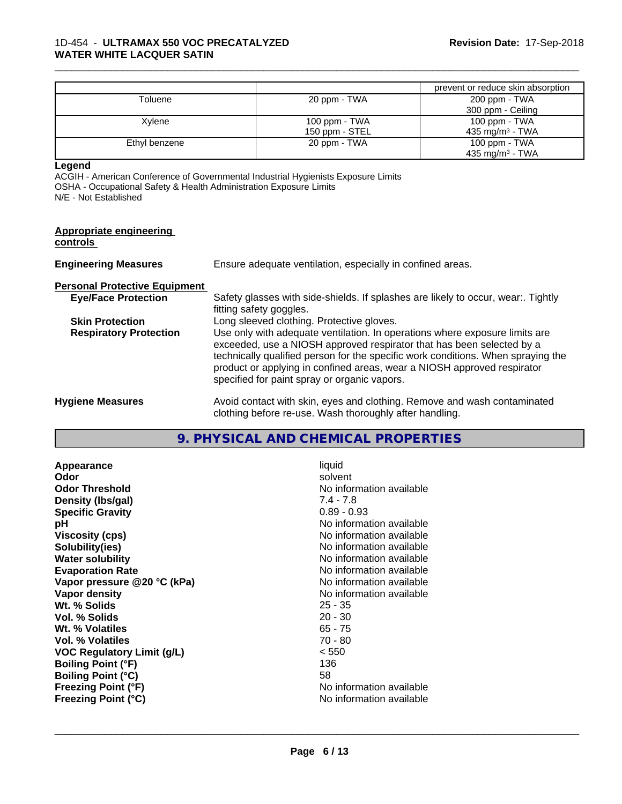|               |                | prevent or reduce skin absorption |
|---------------|----------------|-----------------------------------|
| Toluene       | 20 ppm - TWA   | 200 ppm - TWA                     |
|               |                | 300 ppm - Ceiling                 |
| Xylene        | 100 ppm - TWA  | 100 ppm - TWA                     |
|               | 150 ppm - STEL | 435 mg/m <sup>3</sup> - TWA       |
| Ethyl benzene | 20 ppm - TWA   | 100 ppm - TWA                     |
|               |                | 435 mg/m <sup>3</sup> - TWA       |

**Legend**

ACGIH - American Conference of Governmental Industrial Hygienists Exposure Limits OSHA - Occupational Safety & Health Administration Exposure Limits N/E - Not Established

| <b>Appropriate engineering</b><br>controls |                                                                                                                                                                                                                                                                                                                                                                     |
|--------------------------------------------|---------------------------------------------------------------------------------------------------------------------------------------------------------------------------------------------------------------------------------------------------------------------------------------------------------------------------------------------------------------------|
| <b>Engineering Measures</b>                | Ensure adequate ventilation, especially in confined areas.                                                                                                                                                                                                                                                                                                          |
| <b>Personal Protective Equipment</b>       |                                                                                                                                                                                                                                                                                                                                                                     |
| <b>Eye/Face Protection</b>                 | Safety glasses with side-shields. If splashes are likely to occur, wear Tightly<br>fitting safety goggles.                                                                                                                                                                                                                                                          |
| <b>Skin Protection</b>                     | Long sleeved clothing. Protective gloves.                                                                                                                                                                                                                                                                                                                           |
| <b>Respiratory Protection</b>              | Use only with adequate ventilation. In operations where exposure limits are<br>exceeded, use a NIOSH approved respirator that has been selected by a<br>technically qualified person for the specific work conditions. When spraying the<br>product or applying in confined areas, wear a NIOSH approved respirator<br>specified for paint spray or organic vapors. |
| <b>Hygiene Measures</b>                    | Avoid contact with skin, eyes and clothing. Remove and wash contaminated<br>clothing before re-use. Wash thoroughly after handling.                                                                                                                                                                                                                                 |

# **9. PHYSICAL AND CHEMICAL PROPERTIES**

**Appearance** liquid **Odor** solvent **Odor Threshold** No information available **Density (lbs/gal)** 7.4 - 7.8 **Specific Gravity** 0.89 - 0.93 **pH** No information available **Viscosity (cps)** No information available **Solubility(ies)** No information available **Water solubility Water solubility Water solubility Water solubility Water solubility Water solution Evaporation Rate No information available No information available Vapor pressure @20 °C (kPa)** No information available **Vapor density**<br> **We Solids**<br>
We Solid Wit, % Solids
25 - 35 Wt. % Solids **Vol. % Solids** 20 - 30 **Wt. % Volatiles** 65 - 75 **Vol. % Volatiles** 70 - 80 **VOC Regulatory Limit (g/L)** < 550 **Boiling Point (°F)** 136 **Boiling Point (°C)** 58<br> **Freezing Point (°F)** No **Freezing Point (°C)** No information available

**Freezing Point (°F)** No information available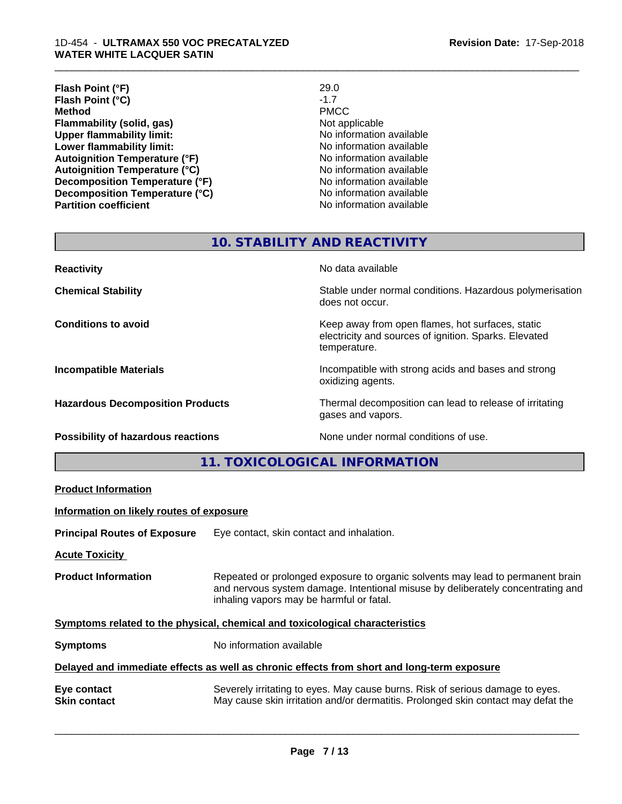#### 1D-454 - **ULTRAMAX 550 VOC PRECATALYZED WATER WHITE LACQUER SATIN**

| Flash Point (°F)                      | 29.0                     |
|---------------------------------------|--------------------------|
| Flash Point (°C)                      | $-1.7$                   |
| <b>Method</b>                         | <b>PMCC</b>              |
| Flammability (solid, gas)             | Not applicable           |
| <b>Upper flammability limit:</b>      | No information available |
| Lower flammability limit:             | No information available |
| <b>Autoignition Temperature (°F)</b>  | No information available |
| <b>Autoignition Temperature (°C)</b>  | No information available |
| <b>Decomposition Temperature (°F)</b> | No information available |
| Decomposition Temperature (°C)        | No information available |
| <b>Partition coefficient</b>          | No information available |

\_\_\_\_\_\_\_\_\_\_\_\_\_\_\_\_\_\_\_\_\_\_\_\_\_\_\_\_\_\_\_\_\_\_\_\_\_\_\_\_\_\_\_\_\_\_\_\_\_\_\_\_\_\_\_\_\_\_\_\_\_\_\_\_\_\_\_\_\_\_\_\_\_\_\_\_\_\_\_\_\_\_\_\_\_\_\_\_\_\_\_\_\_

# **10. STABILITY AND REACTIVITY**

| <b>Reactivity</b>                       | No data available                                                                                                         |
|-----------------------------------------|---------------------------------------------------------------------------------------------------------------------------|
| <b>Chemical Stability</b>               | Stable under normal conditions. Hazardous polymerisation<br>does not occur.                                               |
| <b>Conditions to avoid</b>              | Keep away from open flames, hot surfaces, static<br>electricity and sources of ignition. Sparks. Elevated<br>temperature. |
| <b>Incompatible Materials</b>           | Incompatible with strong acids and bases and strong<br>oxidizing agents.                                                  |
| <b>Hazardous Decomposition Products</b> | Thermal decomposition can lead to release of irritating<br>gases and vapors.                                              |
| Possibility of hazardous reactions      | None under normal conditions of use.                                                                                      |

# **11. TOXICOLOGICAL INFORMATION**

| <b>Product Information</b>               |                                                                                                                                                                                                               |
|------------------------------------------|---------------------------------------------------------------------------------------------------------------------------------------------------------------------------------------------------------------|
| Information on likely routes of exposure |                                                                                                                                                                                                               |
| <b>Principal Routes of Exposure</b>      | Eye contact, skin contact and inhalation.                                                                                                                                                                     |
| <b>Acute Toxicity</b>                    |                                                                                                                                                                                                               |
| <b>Product Information</b>               | Repeated or prolonged exposure to organic solvents may lead to permanent brain<br>and nervous system damage. Intentional misuse by deliberately concentrating and<br>inhaling vapors may be harmful or fatal. |
|                                          | Symptoms related to the physical, chemical and toxicological characteristics                                                                                                                                  |
| <b>Symptoms</b>                          | No information available                                                                                                                                                                                      |
|                                          | Delayed and immediate effects as well as chronic effects from short and long-term exposure                                                                                                                    |
| Eye contact<br><b>Skin contact</b>       | Severely irritating to eyes. May cause burns. Risk of serious damage to eyes.<br>May cause skin irritation and/or dermatitis. Prolonged skin contact may defat the                                            |
|                                          |                                                                                                                                                                                                               |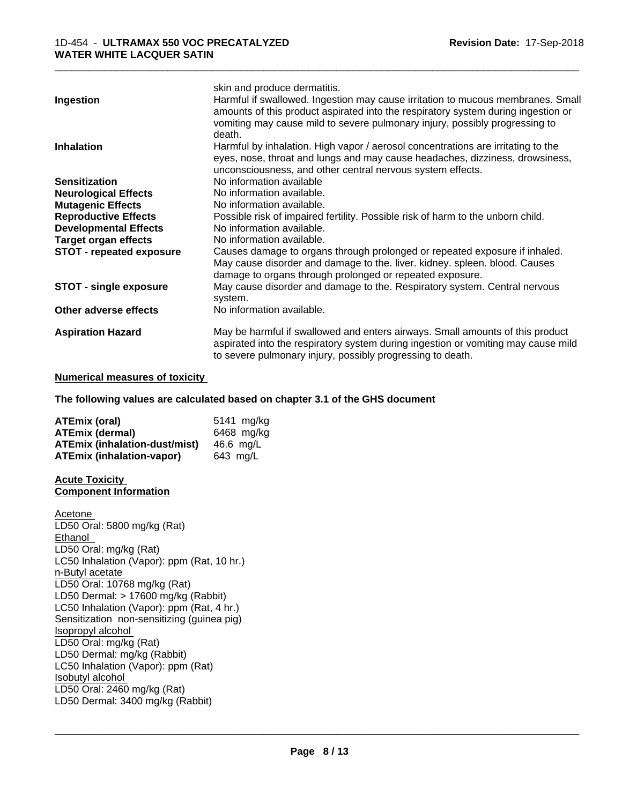|                                 | skin and produce dermatitis.                                                                                                                                         |
|---------------------------------|----------------------------------------------------------------------------------------------------------------------------------------------------------------------|
| Ingestion                       | Harmful if swallowed. Ingestion may cause irritation to mucous membranes. Small<br>amounts of this product aspirated into the respiratory system during ingestion or |
|                                 | vomiting may cause mild to severe pulmonary injury, possibly progressing to                                                                                          |
|                                 | death.                                                                                                                                                               |
| <b>Inhalation</b>               | Harmful by inhalation. High vapor / aerosol concentrations are irritating to the                                                                                     |
|                                 | eyes, nose, throat and lungs and may cause headaches, dizziness, drowsiness,                                                                                         |
|                                 | unconsciousness, and other central nervous system effects.                                                                                                           |
| <b>Sensitization</b>            | No information available                                                                                                                                             |
| <b>Neurological Effects</b>     | No information available.                                                                                                                                            |
| <b>Mutagenic Effects</b>        | No information available.                                                                                                                                            |
| <b>Reproductive Effects</b>     | Possible risk of impaired fertility. Possible risk of harm to the unborn child.                                                                                      |
| <b>Developmental Effects</b>    | No information available.                                                                                                                                            |
| <b>Target organ effects</b>     | No information available.                                                                                                                                            |
| <b>STOT - repeated exposure</b> | Causes damage to organs through prolonged or repeated exposure if inhaled.                                                                                           |
|                                 | May cause disorder and damage to the. liver. kidney. spleen. blood. Causes                                                                                           |
|                                 | damage to organs through prolonged or repeated exposure.                                                                                                             |
| <b>STOT - single exposure</b>   | May cause disorder and damage to the. Respiratory system. Central nervous                                                                                            |
|                                 | system.                                                                                                                                                              |
| Other adverse effects           | No information available.                                                                                                                                            |
| <b>Aspiration Hazard</b>        | May be harmful if swallowed and enters airways. Small amounts of this product                                                                                        |
|                                 | aspirated into the respiratory system during ingestion or vomiting may cause mild                                                                                    |
|                                 | to severe pulmonary injury, possibly progressing to death.                                                                                                           |

#### **Numerical measures of toxicity**

#### **The following values are calculated based on chapter 3.1 of the GHS document**

| ATEmix (oral)                        | 5141 mg/kg |
|--------------------------------------|------------|
| <b>ATEmix (dermal)</b>               | 6468 mg/kg |
| <b>ATEmix (inhalation-dust/mist)</b> | 46.6 mg/L  |
| ATEmix (inhalation-vapor)            | 643 ma/L   |

#### **Acute Toxicity Component Information**

Acetone LD50 Oral: 5800 mg/kg (Rat) Ethanol LD50 Oral: mg/kg (Rat) LC50 Inhalation (Vapor): ppm (Rat, 10 hr.) n-Butyl acetate LD50 Oral: 10768 mg/kg (Rat) LD50 Dermal: > 17600 mg/kg (Rabbit) LC50 Inhalation (Vapor): ppm (Rat, 4 hr.) Sensitization non-sensitizing (guinea pig) Isopropyl alcohol LD50 Oral: mg/kg (Rat) LD50 Dermal: mg/kg (Rabbit) LC50 Inhalation (Vapor): ppm (Rat) Isobutyl alcohol LD50 Oral: 2460 mg/kg (Rat) LD50 Dermal: 3400 mg/kg (Rabbit)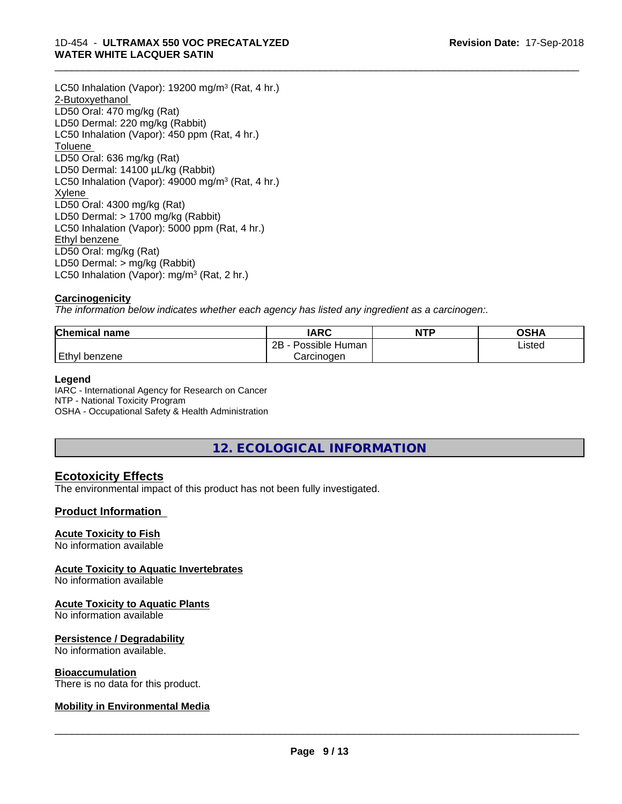#### 1D-454 - **ULTRAMAX 550 VOC PRECATALYZED WATER WHITE LACQUER SATIN**

LC50 Inhalation (Vapor): 19200 mg/m<sup>3</sup> (Rat, 4 hr.) 2-Butoxyethanol LD50 Oral: 470 mg/kg (Rat) LD50 Dermal: 220 mg/kg (Rabbit) LC50 Inhalation (Vapor): 450 ppm (Rat, 4 hr.) **Toluene** LD50 Oral: 636 mg/kg (Rat) LD50 Dermal: 14100 µL/kg (Rabbit) LC50 Inhalation (Vapor): 49000 mg/m<sup>3</sup> (Rat, 4 hr.) Xylene LD50 Oral: 4300 mg/kg (Rat) LD50 Dermal: > 1700 mg/kg (Rabbit) LC50 Inhalation (Vapor): 5000 ppm (Rat, 4 hr.) Ethyl benzene LD50 Oral: mg/kg (Rat) LD50 Dermal: > mg/kg (Rabbit) LC50 Inhalation (Vapor): mg/m<sup>3</sup> (Rat, 2 hr.)

# **Carcinogenicity**

*The information below indicateswhether each agency has listed any ingredient as a carcinogen:.*

| <b>Chemical name</b> | <b>IARC</b>          | <b>NTP</b> | <b>OSHA</b> |
|----------------------|----------------------|------------|-------------|
|                      | 2B<br>Possible Human |            | Listed      |
| Ethyl<br>benzene     | Carcinogen           |            |             |

\_\_\_\_\_\_\_\_\_\_\_\_\_\_\_\_\_\_\_\_\_\_\_\_\_\_\_\_\_\_\_\_\_\_\_\_\_\_\_\_\_\_\_\_\_\_\_\_\_\_\_\_\_\_\_\_\_\_\_\_\_\_\_\_\_\_\_\_\_\_\_\_\_\_\_\_\_\_\_\_\_\_\_\_\_\_\_\_\_\_\_\_\_

# **Legend**

IARC - International Agency for Research on Cancer NTP - National Toxicity Program OSHA - Occupational Safety & Health Administration

**12. ECOLOGICAL INFORMATION**

# **Ecotoxicity Effects**

The environmental impact of this product has not been fully investigated.

# **Product Information**

# **Acute Toxicity to Fish**

No information available

# **Acute Toxicity to Aquatic Invertebrates**

No information available

# **Acute Toxicity to Aquatic Plants**

No information available

# **Persistence / Degradability**

No information available.

#### **Bioaccumulation**

There is no data for this product.

# **Mobility in Environmental Media**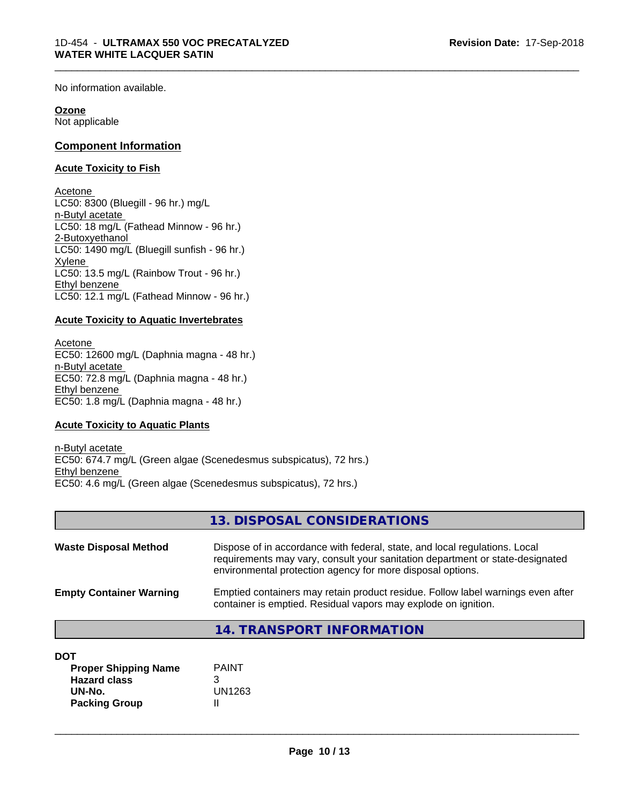No information available.

#### **Ozone**

Not applicable

# **Component Information**

#### **Acute Toxicity to Fish**

Acetone LC50: 8300 (Bluegill - 96 hr.) mg/L n-Butyl acetate LC50: 18 mg/L (Fathead Minnow - 96 hr.) 2-Butoxyethanol LC50: 1490 mg/L (Bluegill sunfish - 96 hr.) Xylene LC50: 13.5 mg/L (Rainbow Trout - 96 hr.) Ethyl benzene LC50: 12.1 mg/L (Fathead Minnow - 96 hr.)

#### **Acute Toxicity to Aquatic Invertebrates**

Acetone EC50: 12600 mg/L (Daphnia magna - 48 hr.) n-Butyl acetate EC50: 72.8 mg/L (Daphnia magna - 48 hr.) Ethyl benzene EC50: 1.8 mg/L (Daphnia magna - 48 hr.)

# **Acute Toxicity to Aquatic Plants**

n-Butyl acetate EC50: 674.7 mg/L (Green algae (Scenedesmus subspicatus), 72 hrs.) Ethyl benzene EC50: 4.6 mg/L (Green algae (Scenedesmus subspicatus), 72 hrs.)

|                                | 13. DISPOSAL CONSIDERATIONS                                                                                                                                                                                               |
|--------------------------------|---------------------------------------------------------------------------------------------------------------------------------------------------------------------------------------------------------------------------|
| <b>Waste Disposal Method</b>   | Dispose of in accordance with federal, state, and local regulations. Local<br>requirements may vary, consult your sanitation department or state-designated<br>environmental protection agency for more disposal options. |
| <b>Empty Container Warning</b> | Emptied containers may retain product residue. Follow label warnings even after<br>container is emptied. Residual vapors may explode on ignition.                                                                         |
|                                | 14. TRANSPORT INFORMATION                                                                                                                                                                                                 |

| <b>Proper Shipping Name</b> | <b>PAINT</b> |
|-----------------------------|--------------|
| <b>Hazard class</b>         |              |
| UN-No.                      | UN1263       |
| <b>Packing Group</b>        |              |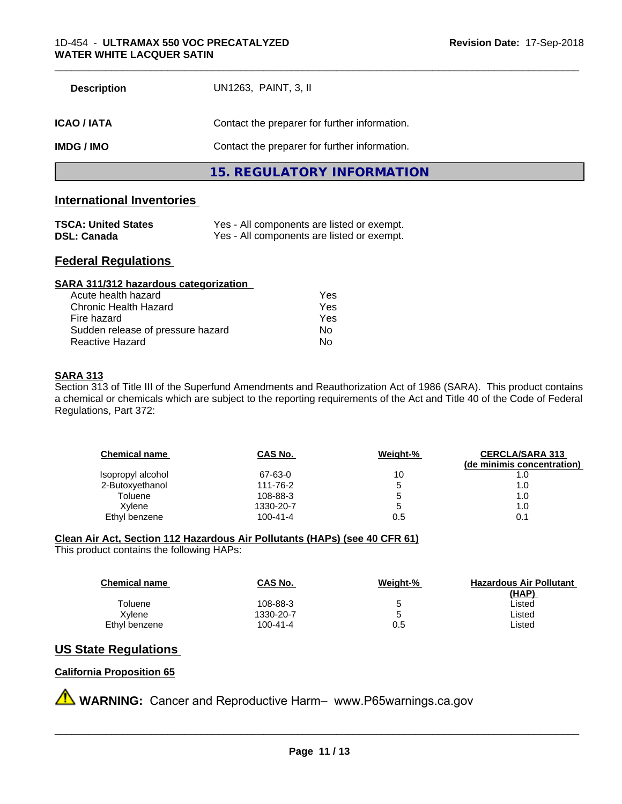| <b>Description</b> | UN1263, PAINT, 3, II                          |
|--------------------|-----------------------------------------------|
| ICAO / IATA        | Contact the preparer for further information. |
| IMDG / IMO         | Contact the preparer for further information. |
|                    | 15. REGULATORY INFORMATION                    |

**International Inventories** 

| <b>TSCA: United States</b> | Yes - All components are listed or exempt. |
|----------------------------|--------------------------------------------|
| <b>DSL: Canada</b>         | Yes - All components are listed or exempt. |

# **Federal Regulations**

| SARA 311/312 hazardous categorization |     |  |
|---------------------------------------|-----|--|
| Acute health hazard                   | Yes |  |
| Chronic Health Hazard                 | Yes |  |
| Fire hazard                           | Yes |  |
| Sudden release of pressure hazard     | Nο  |  |
| Reactive Hazard                       | No  |  |

# **SARA 313**

Section 313 of Title III of the Superfund Amendments and Reauthorization Act of 1986 (SARA). This product contains a chemical or chemicals which are subject to the reporting requirements of the Act and Title 40 of the Code of Federal Regulations, Part 372:

| <b>Chemical name</b> | CAS No.        | Weight-% | <b>CERCLA/SARA 313</b><br>(de minimis concentration) |
|----------------------|----------------|----------|------------------------------------------------------|
| Isopropyl alcohol    | 67-63-0        | 10       | 1.0                                                  |
| 2-Butoxyethanol      | 111-76-2       | 5        | 1.0                                                  |
| Toluene              | 108-88-3       | 5        | 1.0                                                  |
| Xylene               | 1330-20-7      | 5        | 1.0                                                  |
| Ethyl benzene        | $100 - 41 - 4$ | 0.5      | 0.1                                                  |

# **Clean Air Act,Section 112 Hazardous Air Pollutants (HAPs) (see 40 CFR 61)**

This product contains the following HAPs:

| <b>Chemical name</b> | CAS No.   | Weight-% | <b>Hazardous Air Pollutant</b> |
|----------------------|-----------|----------|--------------------------------|
|                      |           |          | (HAP)                          |
| Toluene              | 108-88-3  | 5        | ∟isted                         |
| Xvlene               | 1330-20-7 | 5        | Listed                         |
| Ethyl benzene        | 100-41-4  | 0.5      | ∟isted                         |

# **US State Regulations**

#### **California Proposition 65**

**A** WARNING: Cancer and Reproductive Harm– www.P65warnings.ca.gov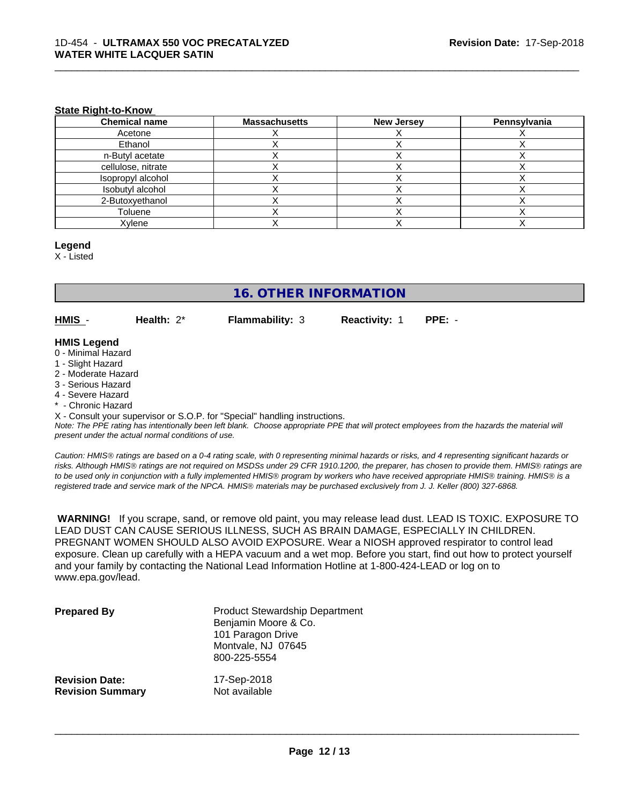#### **State Right-to-Know**

| <b>Chemical name</b> | <b>Massachusetts</b> | <b>New Jersey</b> | Pennsylvania |
|----------------------|----------------------|-------------------|--------------|
| Acetone              |                      |                   |              |
| Ethanol              |                      |                   |              |
| n-Butyl acetate      |                      |                   |              |
| cellulose, nitrate   |                      |                   |              |
| Isopropyl alcohol    |                      |                   |              |
| Isobutyl alcohol     |                      |                   |              |
| 2-Butoxyethanol      |                      |                   |              |
| Toluene              |                      |                   |              |
| Xylene               |                      |                   |              |

#### **Legend**

X - Listed

# **16. OTHER INFORMATION**

**HMIS** - **Health:** 2\* **Flammability:** 3 **Reactivity:** 1 **PPE:** -

\_\_\_\_\_\_\_\_\_\_\_\_\_\_\_\_\_\_\_\_\_\_\_\_\_\_\_\_\_\_\_\_\_\_\_\_\_\_\_\_\_\_\_\_\_\_\_\_\_\_\_\_\_\_\_\_\_\_\_\_\_\_\_\_\_\_\_\_\_\_\_\_\_\_\_\_\_\_\_\_\_\_\_\_\_\_\_\_\_\_\_\_\_

#### **HMIS Legend**

- 0 Minimal Hazard
- 1 Slight Hazard
- 2 Moderate Hazard
- 3 Serious Hazard
- 4 Severe Hazard
- \* Chronic Hazard

X - Consult your supervisor or S.O.P. for "Special" handling instructions.

*Note: The PPE rating has intentionally been left blank. Choose appropriate PPE that will protect employees from the hazards the material will present under the actual normal conditions of use.*

*Caution: HMISÒ ratings are based on a 0-4 rating scale, with 0 representing minimal hazards or risks, and 4 representing significant hazards or risks. Although HMISÒ ratings are not required on MSDSs under 29 CFR 1910.1200, the preparer, has chosen to provide them. HMISÒ ratings are to be used only in conjunction with a fully implemented HMISÒ program by workers who have received appropriate HMISÒ training. HMISÒ is a registered trade and service mark of the NPCA. HMISÒ materials may be purchased exclusively from J. J. Keller (800) 327-6868.*

 **WARNING!** If you scrape, sand, or remove old paint, you may release lead dust. LEAD IS TOXIC. EXPOSURE TO LEAD DUST CAN CAUSE SERIOUS ILLNESS, SUCH AS BRAIN DAMAGE, ESPECIALLY IN CHILDREN. PREGNANT WOMEN SHOULD ALSO AVOID EXPOSURE.Wear a NIOSH approved respirator to control lead exposure. Clean up carefully with a HEPA vacuum and a wet mop. Before you start, find out how to protect yourself and your family by contacting the National Lead Information Hotline at 1-800-424-LEAD or log on to www.epa.gov/lead.

| <b>Prepared By</b>      | <b>Product Stewardship Department</b><br>Benjamin Moore & Co.<br>101 Paragon Drive<br>Montvale, NJ 07645<br>800-225-5554 |
|-------------------------|--------------------------------------------------------------------------------------------------------------------------|
| <b>Revision Date:</b>   | 17-Sep-2018                                                                                                              |
| <b>Revision Summary</b> | Not available                                                                                                            |